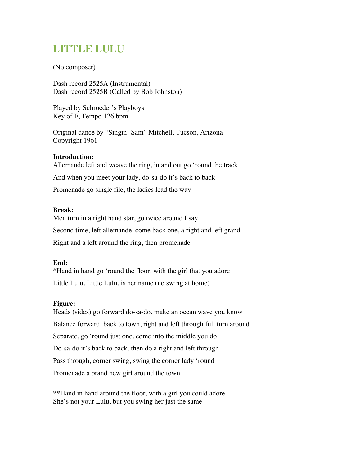# LITTLE LULU

(No composer)

Dash record 2525A (Instrumental) Dash record 2525B (Called by Bob Johnston)

Played by Schroeder's Playboys Key of F, Tempo 126 bpm

Original dance by "Singin' Sam" Mitchell, Tucson, Arizona Copyright 1961

## **Introduction:**

Allemande left and weave the ring, in and out go 'round the track And when you meet your lady, do-sa-do it's back to back Promenade go single file, the ladies lead the way

## **Break:**

Men turn in a right hand star, go twice around I say Second time, left allemande, come back one, a right and left grand Right and a left around the ring, then promenade

#### **End:**

\*Hand in hand go 'round the floor, with the girl that you adore Little Lulu, Little Lulu, is her name (no swing at home)

#### **Figure:**

Heads (sides) go forward do-sa-do, make an ocean wave you know Balance forward, back to town, right and left through full turn around Separate, go 'round just one, come into the middle you do Do-sa-do it's back to back, then do a right and left through Pass through, corner swing, swing the corner lady 'round Promenade a brand new girl around the town

\*\*Hand in hand around the floor, with a girl you could adore She's not your Lulu, but you swing her just the same